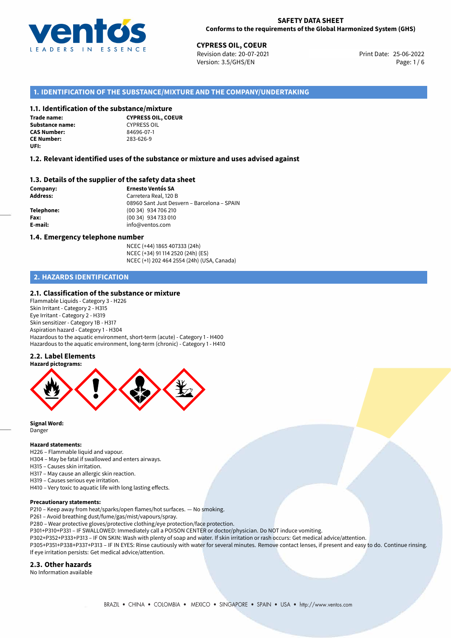

25-06-2022 **CYPRESS OIL, COEUR** Revision date: 20-07-2021 Print Date: Version: 3.5/GHS/EN Page: 1 / 6

# **1. IDENTIFICATION OF THE SUBSTANCE/MIXTURE AND THE COMPANY/UNDERTAKING**

# **1.1. Identification of the substance/mixture**

**Trade name: Substance name:** CYPRESS OIL<br> **CAS Number:** 84696-07-1 **CAS Number: CE Number:** 283-626-9 **UFI:**

**CYPRESS OIL, COEUR**

## **1.2. Relevant identified uses of the substance or mixture and uses advised against**

# **1.3. Details of the supplier of the safety data sheet**

**Company: Ernesto Ventós SA Address:** Carretera Real, 120 B 08960 Sant Just Desvern – Barcelona – SPAIN **Telephone:** (00 34) 934 706 210 **Fax:** (00 34) 934 733 010 **E-mail:** info@ventos.com

#### **1.4. Emergency telephone number**

NCEC (+44) 1865 407333 (24h) NCEC (+34) 91 114 2520 (24h) (ES) NCEC (+1) 202 464 2554 (24h) (USA, Canada)

# **2. HAZARDS IDENTIFICATION**

## **2.1. Classification of the substance or mixture**

Flammable Liquids - Category 3 - H226 Skin Irritant - Category 2 - H315 Eye Irritant - Category 2 - H319 Skin sensitizer - Category 1B - H317 Aspiration hazard - Category 1 - H304 Hazardous to the aquatic environment, short-term (acute) - Category 1 - H400 Hazardous to the aquatic environment, long-term (chronic) - Category 1 - H410

#### **2.2. Label Elements**



**Signal Word:** Danger

#### **Hazard statements:**

H226 – Flammable liquid and vapour.

- H304 May be fatal if swallowed and enters airways.
- H315 Causes skin irritation.
- H317 May cause an allergic skin reaction.
- H319 Causes serious eye irritation.
- H410 Very toxic to aquatic life with long lasting effects.

#### **Precautionary statements:**

P210 – Keep away from heat/sparks/open flames/hot surfaces. — No smoking.

P261 – Avoid breathing dust/fume/gas/mist/vapours/spray.

P280 – Wear protective gloves/protective clothing/eye protection/face protection.

P301+P310+P331 – IF SWALLOWED: Immediately call a POISON CENTER or doctor/physician. Do NOT induce vomiting.

P302+P352+P333+P313 – IF ON SKIN: Wash with plenty of soap and water. If skin irritation or rash occurs: Get medical advice/attention.

P305+P351+P338+P337+P313 – IF IN EYES: Rinse cautiously with water for several minutes. Remove contact lenses, if present and easy to do. Continue rinsing. If eye irritation persists: Get medical advice/attention.

#### **2.3. Other hazards**

No Information available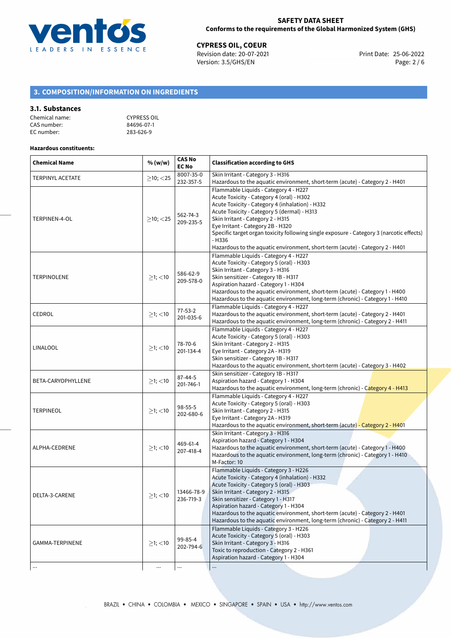

25-06-2022 **CYPRESS OIL, COEUR** Revision date: 20-07-2021 Print Date: Version: 3.5/GHS/EN Page: 2 / 6

# **3. COMPOSITION/INFORMATION ON INGREDIENTS**

#### **3.1. Substances**

| Chemical name: | <b>CYPRESS OIL</b> |
|----------------|--------------------|
| CAS number:    | 84696-07-1         |
| EC number:     | 283-626-9          |

#### **Hazardous constituents:**

| <b>Chemical Name</b>    | % (w/w)          | <b>CAS No</b><br><b>EC No</b> | <b>Classification according to GHS</b>                                                                                                                                                                                                                                                                                                                                                                                                                |  |
|-------------------------|------------------|-------------------------------|-------------------------------------------------------------------------------------------------------------------------------------------------------------------------------------------------------------------------------------------------------------------------------------------------------------------------------------------------------------------------------------------------------------------------------------------------------|--|
| <b>TERPINYL ACETATE</b> | $\geq$ 10; <25   | 8007-35-0                     | Skin Irritant - Category 3 - H316                                                                                                                                                                                                                                                                                                                                                                                                                     |  |
|                         |                  | 232-357-5                     | Hazardous to the aquatic environment, short-term (acute) - Category 2 - H401                                                                                                                                                                                                                                                                                                                                                                          |  |
| TERPINEN-4-OL           | $>10$ ; $<$ 25   | 562-74-3<br>209-235-5         | Flammable Liquids - Category 4 - H227<br>Acute Toxicity - Category 4 (oral) - H302<br>Acute Toxicity - Category 4 (inhalation) - H332<br>Acute Toxicity - Category 5 (dermal) - H313<br>Skin Irritant - Category 2 - H315<br>Eye Irritant - Category 2B - H320<br>Specific target organ toxicity following single exposure - Category 3 (narcotic effects)<br>$-H336$<br>Hazardous to the aquatic environment, short-term (acute) - Category 2 - H401 |  |
| <b>TERPINOLENE</b>      | $\geq$ 1; <10    | 586-62-9<br>209-578-0         | Flammable Liquids - Category 4 - H227<br>Acute Toxicity - Category 5 (oral) - H303<br>Skin Irritant - Category 3 - H316<br>Skin sensitizer - Category 1B - H317<br>Aspiration hazard - Category 1 - H304<br>Hazardous to the aquatic environment, short-term (acute) - Category 1 - H400<br>Hazardous to the aquatic environment, long-term (chronic) - Category 1 - H410                                                                             |  |
| CEDROL                  | $\geq$ 1; $<$ 10 | $77 - 53 - 2$<br>201-035-6    | Flammable Liquids - Category 4 - H227<br>Hazardous to the aquatic environment, short-term (acute) - Category 2 - H401<br>Hazardous to the aquatic environment, long-term (chronic) - Category 2 - H411                                                                                                                                                                                                                                                |  |
| LINALOOL                | $\geq$ 1; $<$ 10 | 78-70-6<br>201-134-4          | Flammable Liquids - Category 4 - H227<br>Acute Toxicity - Category 5 (oral) - H303<br>Skin Irritant - Category 2 - H315<br>Eye Irritant - Category 2A - H319<br>Skin sensitizer - Category 1B - H317<br>Hazardous to the aquatic environment, short-term (acute) - Category 3 - H402                                                                                                                                                                  |  |
| BETA-CARYOPHYLLENE      | $≥1;$ < 10       | 87-44-5<br>201-746-1          | Skin sensitizer - Category 1B - H317<br>Aspiration hazard - Category 1 - H304<br>Hazardous to the aquatic environment, long-term (chronic) - Category 4 - H413                                                                                                                                                                                                                                                                                        |  |
| TERPINEOL               | $\geq$ 1; $<$ 10 | 98-55-5<br>202-680-6          | Flammable Liquids - Category 4 - H227<br>Acute Toxicity - Category 5 (oral) - H303<br>Skin Irritant - Category 2 - H315<br>Eye Irritant - Category 2A - H319<br>Hazardous to the aquatic environment, short-term (acute) - Category 2 - H401                                                                                                                                                                                                          |  |
| ALPHA-CEDRENE           | $\geq$ 1; <10    | 469-61-4<br>207-418-4         | Skin Irritant - Category 3 - H316<br>Aspiration hazard - Category 1 - H304<br>Hazardous to the aquatic environment, short-term (acute) - Category 1 - H400<br>Hazardous to the aquatic environment, long-term (chronic) - Category 1 - H410<br>M-Factor: 10                                                                                                                                                                                           |  |
| DELTA-3-CARENE          | $\geq$ 1; <10    | 13466-78-9<br>236-719-3       | Flammable Liquids - Category 3 - H226<br>Acute Toxicity - Category 4 (inhalation) - H332<br>Acute Toxicity - Category 5 (oral) - H303<br>Skin Irritant - Category 2 - H315<br>Skin sensitizer - Category 1 - H317<br>Aspiration hazard - Category 1 - H304<br>Hazardous to the aquatic environment, short-term (acute) - Category 2 - H401<br>Hazardous to the aquatic environment, long-term (chronic) - Category 2 - H411                           |  |
| GAMMA-TERPINENE         | $\geq$ 1; <10    | 99-85-4<br>202-794-6          | Flammable Liquids - Category 3 - H226<br>Acute Toxicity - Category 5 (oral) - H303<br>Skin Irritant - Category 3 - H316<br>Toxic to reproduction - Category 2 - H361<br>Aspiration hazard - Category 1 - H304                                                                                                                                                                                                                                         |  |
| $\cdots$                | $\cdots$         | $\ldots$                      |                                                                                                                                                                                                                                                                                                                                                                                                                                                       |  |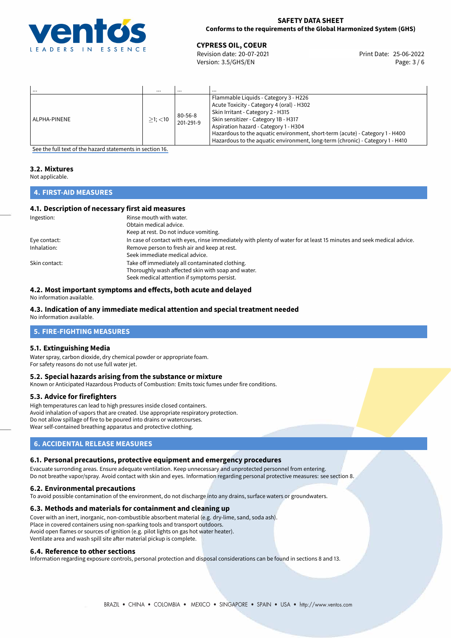

# **SAFETY DATA SHEET Conforms to the requirements of the Global Harmonized System (GHS)**

25-06-2022 **CYPRESS OIL, COEUR** Revision date: 20-07-2021 Print Date: Version: 3.5/GHS/EN Page: 3 / 6

| $\cdots$     | $\cdots$      | $\cdots$                   | $\cdots$                                                                                                                                                                                                                                                                                                                                                                  |
|--------------|---------------|----------------------------|---------------------------------------------------------------------------------------------------------------------------------------------------------------------------------------------------------------------------------------------------------------------------------------------------------------------------------------------------------------------------|
| ALPHA-PINENE | $>1$ ; $<$ 10 | $80 - 56 - 8$<br>201-291-9 | Flammable Liquids - Category 3 - H226<br>Acute Toxicity - Category 4 (oral) - H302<br>Skin Irritant - Category 2 - H315<br>Skin sensitizer - Category 1B - H317<br>Aspiration hazard - Category 1 - H304<br>Hazardous to the aquatic environment, short-term (acute) - Category 1 - H400<br>Hazardous to the aquatic environment, long-term (chronic) - Category 1 - H410 |

[See the full text of the hazard statements in section 16.](#page-5-0)

# **3.2. Mixtures**

Not applicable.

# **4. FIRST-AID MEASURES**

# **4.1. Description of necessary first aid measures**

| Ingestion:    | Rinse mouth with water.                                                                                               |
|---------------|-----------------------------------------------------------------------------------------------------------------------|
|               | Obtain medical advice.                                                                                                |
|               | Keep at rest. Do not induce vomiting.                                                                                 |
| Eye contact:  | In case of contact with eyes, rinse immediately with plenty of water for at least 15 minutes and seek medical advice. |
| Inhalation:   | Remove person to fresh air and keep at rest.                                                                          |
|               | Seek immediate medical advice.                                                                                        |
| Skin contact: | Take off immediately all contaminated clothing.                                                                       |
|               | Thoroughly wash affected skin with soap and water.                                                                    |
|               | Seek medical attention if symptoms persist.                                                                           |

# **4.2. Most important symptoms and effects, both acute and delayed**

No information available.

## **4.3. Indication of any immediate medical attention and special treatment needed**

No information available.

# **5. FIRE-FIGHTING MEASURES**

## **5.1. Extinguishing Media**

Water spray, carbon dioxide, dry chemical powder or appropriate foam. For safety reasons do not use full water jet.

## **5.2. Special hazards arising from the substance or mixture**

Known or Anticipated Hazardous Products of Combustion: Emits toxic fumes under fire conditions.

#### **5.3. Advice for firefighters**

High temperatures can lead to high pressures inside closed containers. Avoid inhalation of vapors that are created. Use appropriate respiratory protection. Do not allow spillage of fire to be poured into drains or watercourses. Wear self-contained breathing apparatus and protective clothing.

# **6. ACCIDENTAL RELEASE MEASURES**

## **6.1. Personal precautions, protective equipment and emergency procedures**

Evacuate surronding areas. Ensure adequate ventilation. Keep unnecessary and unprotected personnel from entering. Do not breathe vapor/spray. Avoid contact with skin and eyes. Information regarding personal protective measures: see section 8.

#### **6.2. Environmental precautions**

To avoid possible contamination of the environment, do not discharge into any drains, surface waters or groundwaters.

#### **6.3. Methods and materials for containment and cleaning up**

Cover with an inert, inorganic, non-combustible absorbent material (e.g. dry-lime, sand, soda ash). Place in covered containers using non-sparking tools and transport outdoors. Avoid open flames or sources of ignition (e.g. pilot lights on gas hot water heater). Ventilate area and wash spill site after material pickup is complete.

## **6.4. Reference to other sections**

Information regarding exposure controls, personal protection and disposal considerations can be found in sections 8 and 13.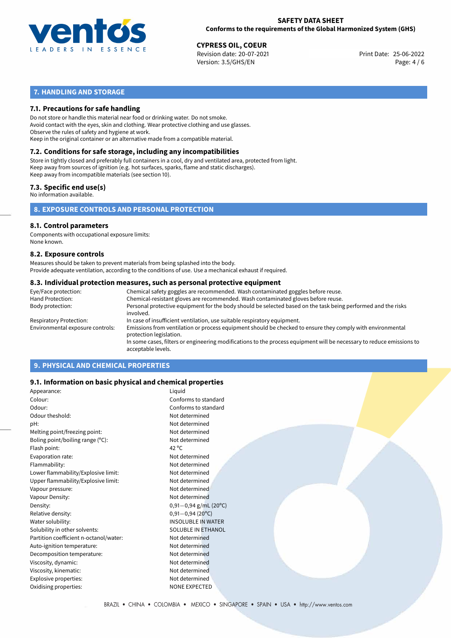

25-06-2022 **CYPRESS OIL, COEUR** Revision date: 20-07-2021 Print Date: Version: 3.5/GHS/EN Page: 4 / 6

# **7. HANDLING AND STORAGE**

# **7.1. Precautions for safe handling**

Do not store or handle this material near food or drinking water. Do not smoke. Avoid contact with the eyes, skin and clothing. Wear protective clothing and use glasses. Observe the rules of safety and hygiene at work. Keep in the original container or an alternative made from a compatible material.

# **7.2. Conditions for safe storage, including any incompatibilities**

Store in tightly closed and preferably full containers in a cool, dry and ventilated area, protected from light. Keep away from sources of ignition (e.g. hot surfaces, sparks, flame and static discharges). Keep away from incompatible materials (see section 10).

# **7.3. Specific end use(s)**

No information available.

**8. EXPOSURE CONTROLS AND PERSONAL PROTECTION**

# **8.1. Control parameters**

Components with occupational exposure limits: None known.

#### **8.2. Exposure controls**

Measures should be taken to prevent materials from being splashed into the body. Provide adequate ventilation, according to the conditions of use. Use a mechanical exhaust if required.

#### **8.3. Individual protection measures, such as personal protective equipment**

| Eye/Face protection:             | Chemical safety goggles are recommended. Wash contaminated goggles before reuse.                                                            |
|----------------------------------|---------------------------------------------------------------------------------------------------------------------------------------------|
| Hand Protection:                 | Chemical-resistant gloves are recommended. Wash contaminated gloves before reuse.                                                           |
| Body protection:                 | Personal protective equipment for the body should be selected based on the task being performed and the risks<br>involved.                  |
| Respiratory Protection:          | In case of insufficient ventilation, use suitable respiratory equipment.                                                                    |
| Environmental exposure controls: | Emissions from ventilation or process equipment should be checked to ensure they comply with environmental<br>protection legislation.       |
|                                  | In some cases, filters or engineering modifications to the process equipment will be necessary to reduce emissions to<br>acceptable levels. |
|                                  |                                                                                                                                             |

# **9. PHYSICAL AND CHEMICAL PROPERTIES**

## **9.1. Information on basic physical and chemical properties**

| Appearance:                            | Liquid                     |
|----------------------------------------|----------------------------|
| Colour:                                | Conforms to standard       |
| Odour:                                 | Conforms to standard       |
| Odour theshold:                        | Not determined             |
| pH:                                    | Not determined             |
| Melting point/freezing point:          | Not determined             |
| Boling point/boiling range (°C):       | Not determined             |
| Flash point:                           | 42 $^{\circ}$ C            |
| Evaporation rate:                      | Not determined             |
| Flammability:                          | Not determined             |
| Lower flammability/Explosive limit:    | Not determined             |
| Upper flammability/Explosive limit:    | Not determined             |
| Vapour pressure:                       | Not determined             |
| Vapour Density:                        | Not determined             |
| Density:                               | $0,91 - 0,94$ g/mL (20°C)  |
| Relative density:                      | $0,91 - 0,94(20^{\circ}C)$ |
| Water solubility:                      | <b>INSOLUBLE IN WATER</b>  |
| Solubility in other solvents:          | <b>SOLUBLE IN ETHANOL</b>  |
| Partition coefficient n-octanol/water: | Not determined             |
| Auto-ignition temperature:             | Not determined             |
| Decomposition temperature:             | Not determined             |
| Viscosity, dynamic:                    | Not determined             |
| Viscosity, kinematic:                  | Not determined             |
| Explosive properties:                  | Not determined             |
| Oxidising properties:                  | NONE EXPECTED              |
|                                        |                            |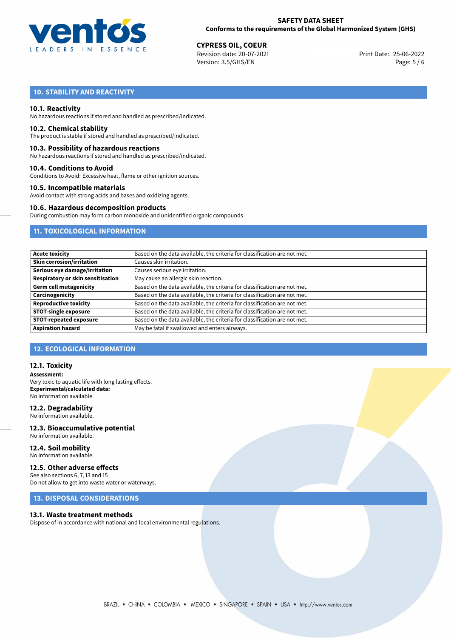

25-06-2022 **CYPRESS OIL, COEUR** Revision date: 20-07-2021 Print Date: Version: 3.5/GHS/EN Page: 5 / 6

# **10. STABILITY AND REACTIVITY**

### **10.1. Reactivity**

No hazardous reactions if stored and handled as prescribed/indicated.

#### **10.2. Chemical stability**

The product is stable if stored and handled as prescribed/indicated.

### **10.3. Possibility of hazardous reactions**

No hazardous reactions if stored and handled as prescribed/indicated.

#### **10.4. Conditions to Avoid**

Conditions to Avoid: Excessive heat, flame or other ignition sources.

#### **10.5. Incompatible materials**

Avoid contact with strong acids and bases and oxidizing agents.

#### **10.6. Hazardous decomposition products**

During combustion may form carbon monoxide and unidentified organic compounds.

# **11. TOXICOLOGICAL INFORMATION**

| <b>Acute toxicity</b>             | Based on the data available, the criteria for classification are not met. |
|-----------------------------------|---------------------------------------------------------------------------|
| <b>Skin corrosion/irritation</b>  | Causes skin irritation.                                                   |
| Serious eye damage/irritation     | Causes serious eye irritation.                                            |
| Respiratory or skin sensitisation | May cause an allergic skin reaction.                                      |
| <b>Germ cell mutagenicity</b>     | Based on the data available, the criteria for classification are not met. |
| Carcinogenicity                   | Based on the data available, the criteria for classification are not met. |
| <b>Reproductive toxicity</b>      | Based on the data available, the criteria for classification are not met. |
| <b>STOT-single exposure</b>       | Based on the data available, the criteria for classification are not met. |
| <b>STOT-repeated exposure</b>     | Based on the data available, the criteria for classification are not met. |
| <b>Aspiration hazard</b>          | May be fatal if swallowed and enters airways.                             |

## **12. ECOLOGICAL INFORMATION**

# **12.1. Toxicity**

**Assessment:** Very toxic to aquatic life with long lasting effects. **Experimental/calculated data:** No information available.

### **12.2. Degradability**

No information available.

#### **12.3. Bioaccumulative potential** No information available.

**12.4. Soil mobility** No information available.

# **12.5. Other adverse effects**

See also sections 6, 7, 13 and 15 Do not allow to get into waste water or waterways.

# **13. DISPOSAL CONSIDERATIONS**

#### **13.1. Waste treatment methods**

Dispose of in accordance with national and local environmental regulations.